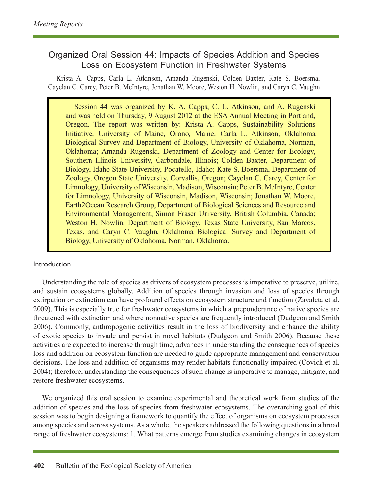# Organized Oral Session 44: Impacts of Species Addition and Species Loss on Ecosystem Function in Freshwater Systems

Krista A. Capps, Carla L. Atkinson, Amanda Rugenski, Colden Baxter, Kate S. Boersma, Cayelan C. Carey, Peter B. McIntyre, Jonathan W. Moore, Weston H. Nowlin, and Caryn C. Vaughn

Session 44 was organized by K. A. Capps, C. L. Atkinson, and A. Rugenski and was held on Thursday, 9 August 2012 at the ESA Annual Meeting in Portland, Oregon. The report was written by: Krista A. Capps, Sustainability Solutions Initiative, University of Maine, Orono, Maine; Carla L. Atkinson, Oklahoma Biological Survey and Department of Biology, University of Oklahoma, Norman, Oklahoma; Amanda Rugenski, Department of Zoology and Center for Ecology, Southern Illinois University, Carbondale, Illinois; Colden Baxter, Department of Biology, Idaho State University, Pocatello, Idaho; Kate S. Boersma, Department of Zoology, Oregon State University, Corvallis, Oregon; Cayelan C. Carey, Center for Limnology, University of Wisconsin, Madison, Wisconsin; Peter B. McIntyre, Center for Limnology, University of Wisconsin, Madison, Wisconsin; Jonathan W. Moore, Earth2Ocean Research Group, Department of Biological Sciences and Resource and Environmental Management, Simon Fraser University, British Columbia, Canada; Weston H. Nowlin, Department of Biology, Texas State University, San Marcos, Texas, and Caryn C. Vaughn, Oklahoma Biological Survey and Department of Biology, University of Oklahoma, Norman, Oklahoma.

# Introduction

Understanding the role of species as drivers of ecosystem processes is imperative to preserve, utilize, and sustain ecosystems globally. Addition of species through invasion and loss of species through extirpation or extinction can have profound effects on ecosystem structure and function (Zavaleta et al. 2009). This is especially true for freshwater ecosystems in which a preponderance of native species are threatened with extinction and where nonnative species are frequently introduced (Dudgeon and Smith 2006). Commonly, anthropogenic activities result in the loss of biodiversity and enhance the ability of exotic species to invade and persist in novel habitats (Dudgeon and Smith 2006). Because these activities are expected to increase through time, advances in understanding the consequences of species loss and addition on ecosystem function are needed to guide appropriate management and conservation decisions. The loss and addition of organisms may render habitats functionally impaired (Covich et al. 2004); therefore, understanding the consequences of such change is imperative to manage, mitigate, and restore freshwater ecosystems.

We organized this oral session to examine experimental and theoretical work from studies of the addition of species and the loss of species from freshwater ecosystems. The overarching goal of this session was to begin designing a framework to quantify the effect of organisms on ecosystem processes among species and across systems. As a whole, the speakers addressed the following questions in a broad range of freshwater ecosystems: 1. What patterns emerge from studies examining changes in ecosystem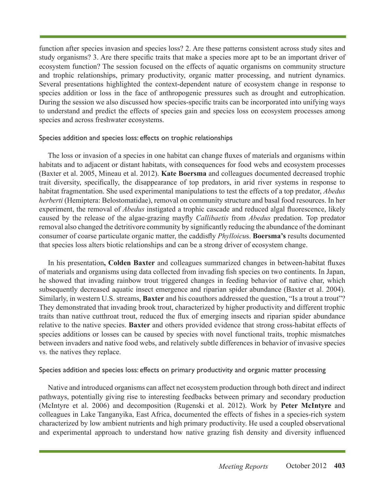function after species invasion and species loss? 2. Are these patterns consistent across study sites and study organisms? 3. Are there specific traits that make a species more apt to be an important driver of ecosystem function? The session focused on the effects of aquatic organisms on community structure and trophic relationships, primary productivity, organic matter processing, and nutrient dynamics. Several presentations highlighted the context-dependent nature of ecosystem change in response to species addition or loss in the face of anthropogenic pressures such as drought and eutrophication. During the session we also discussed how species-specific traits can be incorporated into unifying ways to understand and predict the effects of species gain and species loss on ecosystem processes among species and across freshwater ecosystems.

### Species addition and species loss: effects on trophic relationships

The loss or invasion of a species in one habitat can change fluxes of materials and organisms within habitats and to adjacent or distant habitats, with consequences for food webs and ecosystem processes (Baxter et al. 2005, Mineau et al. 2012). **Kate Boersma** and colleagues documented decreased trophic trait diversity, specifically, the disappearance of top predators, in arid river systems in response to habitat fragmentation. She used experimental manipulations to test the effects of a top predator, *Abedus herberti* (Hemiptera: Belostomatidae), removal on community structure and basal food resources. In her experiment, the removal of *Abedus* instigated a trophic cascade and reduced algal fluorescence, likely caused by the release of the algae-grazing mayfly *Callibaetis* from *Abedus* predation. Top predator removal also changed the detritivore community by significantly reducing the abundance of the dominant consumer of coarse particulate organic matter, the caddisfly *Phylloicu*s. **Boersma's** results documented that species loss alters biotic relationships and can be a strong driver of ecosystem change.

In his presentation**, Colden Baxter** and colleagues summarized changes in between-habitat fluxes of materials and organisms using data collected from invading fish species on two continents. In Japan, he showed that invading rainbow trout triggered changes in feeding behavior of native char, which subsequently decreased aquatic insect emergence and riparian spider abundance (Baxter et al. 2004). Similarly, in western U.S. streams, **Baxter** and his coauthors addressed the question, "Is a trout a trout"? They demonstrated that invading brook trout, characterized by higher productivity and different trophic traits than native cutthroat trout, reduced the flux of emerging insects and riparian spider abundance relative to the native species. **Baxter** and others provided evidence that strong cross-habitat effects of species additions or losses can be caused by species with novel functional traits, trophic mismatches between invaders and native food webs, and relatively subtle differences in behavior of invasive species vs. the natives they replace.

# Species addition and species loss: effects on primary productivity and organic matter processing

Native and introduced organisms can affect net ecosystem production through both direct and indirect pathways, potentially giving rise to interesting feedbacks between primary and secondary production (McIntyre et al. 2006) and decomposition (Rugenski et al. 2012). Work by **Peter McIntyre** and colleagues in Lake Tanganyika, East Africa, documented the effects of fishes in a species-rich system characterized by low ambient nutrients and high primary productivity. He used a coupled observational and experimental approach to understand how native grazing fish density and diversity influenced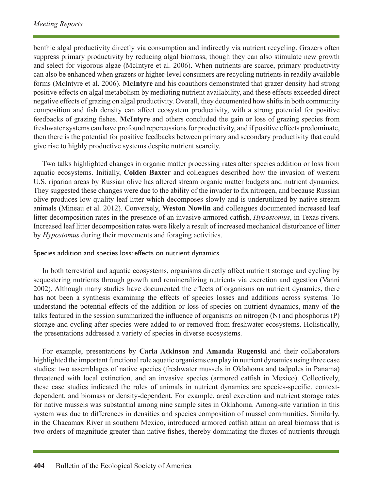benthic algal productivity directly via consumption and indirectly via nutrient recycling. Grazers often suppress primary productivity by reducing algal biomass, though they can also stimulate new growth and select for vigorous algae (McIntyre et al. 2006). When nutrients are scarce, primary productivity can also be enhanced when grazers or higher-level consumers are recycling nutrients in readily available forms (McIntyre et al. 2006). **McIntyre** and his coauthors demonstrated that grazer density had strong positive effects on algal metabolism by mediating nutrient availability, and these effects exceeded direct negative effects of grazing on algal productivity. Overall, they documented how shifts in both community composition and fish density can affect ecosystem productivity, with a strong potential for positive feedbacks of grazing fishes. **McIntyre** and others concluded the gain or loss of grazing species from freshwater systems can have profound repercussions for productivity, and if positive effects predominate, then there is the potential for positive feedbacks between primary and secondary productivity that could give rise to highly productive systems despite nutrient scarcity.

Two talks highlighted changes in organic matter processing rates after species addition or loss from aquatic ecosystems. Initially, **Colden Baxter** and colleagues described how the invasion of western U.S. riparian areas by Russian olive has altered stream organic matter budgets and nutrient dynamics. They suggested these changes were due to the ability of the invader to fix nitrogen, and because Russian olive produces low-quality leaf litter which decomposes slowly and is underutilized by native stream animals (Mineau et al. 2012). Conversely, **Weston Nowlin** and colleagues documented increased leaf litter decomposition rates in the presence of an invasive armored catfish, *Hypostomus*, in Texas rivers. Increased leaf litter decomposition rates were likely a result of increased mechanical disturbance of litter by *Hypostomus* during their movements and foraging activities.

# Species addition and species loss: effects on nutrient dynamics

In both terrestrial and aquatic ecosystems, organisms directly affect nutrient storage and cycling by sequestering nutrients through growth and remineralizing nutrients via excretion and egestion (Vanni 2002). Although many studies have documented the effects of organisms on nutrient dynamics, there has not been a synthesis examining the effects of species losses and additions across systems. To understand the potential effects of the addition or loss of species on nutrient dynamics, many of the talks featured in the session summarized the influence of organisms on nitrogen (N) and phosphorus (P) storage and cycling after species were added to or removed from freshwater ecosystems. Holistically, the presentations addressed a variety of species in diverse ecosystems.

For example, presentations by **Carla Atkinson** and **Amanda Rugenski** and their collaborators highlighted the important functional role aquatic organisms can play in nutrient dynamics using three case studies: two assemblages of native species (freshwater mussels in Oklahoma and tadpoles in Panama) threatened with local extinction, and an invasive species (armored catfish in Mexico). Collectively, these case studies indicated the roles of animals in nutrient dynamics are species-specific, contextdependent, and biomass or density-dependent. For example, areal excretion and nutrient storage rates for native mussels was substantial among nine sample sites in Oklahoma. Among-site variation in this system was due to differences in densities and species composition of mussel communities. Similarly, in the Chacamax River in southern Mexico, introduced armored catfish attain an areal biomass that is two orders of magnitude greater than native fishes, thereby dominating the fluxes of nutrients through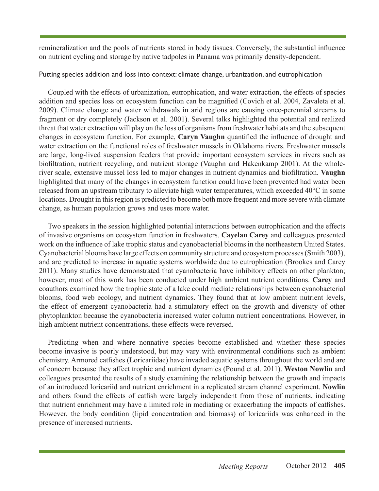remineralization and the pools of nutrients stored in body tissues. Conversely, the substantial influence on nutrient cycling and storage by native tadpoles in Panama was primarily density-dependent.

### Putting species addition and loss into context: climate change, urbanization, and eutrophication

Coupled with the effects of urbanization, eutrophication, and water extraction, the effects of species addition and species loss on ecosystem function can be magnified (Covich et al. 2004, Zavaleta et al. 2009). Climate change and water withdrawals in arid regions are causing once-perennial streams to fragment or dry completely (Jackson et al. 2001). Several talks highlighted the potential and realized threat that water extraction will play on the loss of organisms from freshwater habitats and the subsequent changes in ecosystem function. For example, **Caryn Vaughn** quantified the influence of drought and water extraction on the functional roles of freshwater mussels in Oklahoma rivers. Freshwater mussels are large, long-lived suspension feeders that provide important ecosystem services in rivers such as biofiltration, nutrient recycling, and nutrient storage (Vaughn and Hakenkamp 2001). At the wholeriver scale, extensive mussel loss led to major changes in nutrient dynamics and biofiltration. **Vaughn** highlighted that many of the changes in ecosystem function could have been prevented had water been released from an upstream tributary to alleviate high water temperatures, which exceeded 40°C in some locations. Drought in this region is predicted to become both more frequent and more severe with climate change, as human population grows and uses more water.

Two speakers in the session highlighted potential interactions between eutrophication and the effects of invasive organisms on ecosystem function in freshwaters. **Cayelan Carey** and colleagues presented work on the influence of lake trophic status and cyanobacterial blooms in the northeastern United States. Cyanobacterial blooms have large effects on community structure and ecosystem processes (Smith 2003), and are predicted to increase in aquatic systems worldwide due to eutrophication (Brookes and Carey 2011). Many studies have demonstrated that cyanobacteria have inhibitory effects on other plankton; however, most of this work has been conducted under high ambient nutrient conditions. **Carey** and coauthors examined how the trophic state of a lake could mediate relationships between cyanobacterial blooms, food web ecology, and nutrient dynamics. They found that at low ambient nutrient levels, the effect of emergent cyanobacteria had a stimulatory effect on the growth and diversity of other phytoplankton because the cyanobacteria increased water column nutrient concentrations. However, in high ambient nutrient concentrations, these effects were reversed.

Predicting when and where nonnative species become established and whether these species become invasive is poorly understood, but may vary with environmental conditions such as ambient chemistry. Armored catfishes (Loricariidae) have invaded aquatic systems throughout the world and are of concern because they affect trophic and nutrient dynamics (Pound et al. 2011). **Weston Nowlin** and colleagues presented the results of a study examining the relationship between the growth and impacts of an introduced loricariid and nutrient enrichment in a replicated stream channel experiment. **Nowlin** and others found the effects of catfish were largely independent from those of nutrients, indicating that nutrient enrichment may have a limited role in mediating or exacerbating the impacts of catfishes. However, the body condition (lipid concentration and biomass) of loricariids was enhanced in the presence of increased nutrients.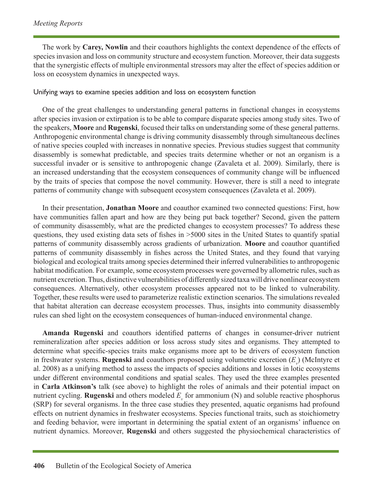The work by **Carey, Nowlin** and their coauthors highlights the context dependence of the effects of species invasion and loss on community structure and ecosystem function. Moreover, their data suggests that the synergistic effects of multiple environmental stressors may alter the effect of species addition or loss on ecosystem dynamics in unexpected ways.

#### Unifying ways to examine species addition and loss on ecosystem function

One of the great challenges to understanding general patterns in functional changes in ecosystems after species invasion or extirpation is to be able to compare disparate species among study sites. Two of the speakers, **Moore** and **Rugenski**, focused their talks on understanding some of these general patterns. Anthropogenic environmental change is driving community disassembly through simultaneous declines of native species coupled with increases in nonnative species. Previous studies suggest that community disassembly is somewhat predictable, and species traits determine whether or not an organism is a successful invader or is sensitive to anthropogenic change (Zavaleta et al. 2009). Similarly, there is an increased understanding that the ecosystem consequences of community change will be influenced by the traits of species that compose the novel community. However, there is still a need to integrate patterns of community change with subsequent ecosystem consequences (Zavaleta et al. 2009).

In their presentation, **Jonathan Moore** and coauthor examined two connected questions: First, how have communities fallen apart and how are they being put back together? Second, given the pattern of community disassembly, what are the predicted changes to ecosystem processes? To address these questions, they used existing data sets of fishes in >5000 sites in the United States to quantify spatial patterns of community disassembly across gradients of urbanization. **Moore** and coauthor quantified patterns of community disassembly in fishes across the United States, and they found that varying biological and ecological traits among species determined their inferred vulnerabilities to anthropogenic habitat modification. For example, some ecosystem processes were governed by allometric rules, such as nutrient excretion. Thus, distinctive vulnerabilities of differently sized taxa will drive nonlinear ecosystem consequences. Alternatively, other ecosystem processes appeared not to be linked to vulnerability. Together, these results were used to parameterize realistic extinction scenarios. The simulations revealed that habitat alteration can decrease ecosystem processes. Thus, insights into community disassembly rules can shed light on the ecosystem consequences of human-induced environmental change.

**Amanda Rugenski** and coauthors identified patterns of changes in consumer-driver nutrient remineralization after species addition or loss across study sites and organisms. They attempted to determine what specific-species traits make organisms more apt to be drivers of ecosystem function in freshwater systems. **Rugenski** and coauthors proposed using volumetric excretion (*E<sup>v</sup>* ) (McIntyre et al. 2008) as a unifying method to assess the impacts of species additions and losses in lotic ecosystems under different environmental conditions and spatial scales. They used the three examples presented in **Carla Atkinson's** talk (see above) to highlight the roles of animals and their potential impact on nutrient cycling. **Rugenski** and others modeled  $E<sub>v</sub>$  for ammonium (N) and soluble reactive phosphorus (SRP) for several organisms. In the three case studies they presented, aquatic organisms had profound effects on nutrient dynamics in freshwater ecosystems. Species functional traits, such as stoichiometry and feeding behavior, were important in determining the spatial extent of an organisms' influence on nutrient dynamics. Moreover, **Rugenski** and others suggested the physiochemical characteristics of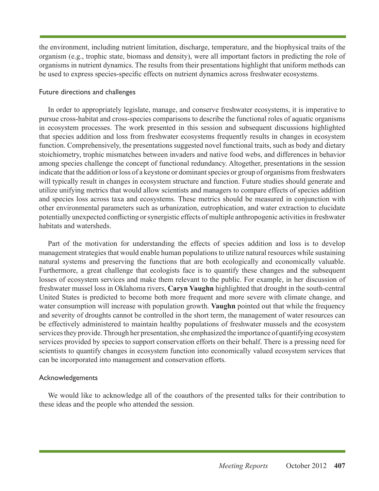the environment, including nutrient limitation, discharge, temperature, and the biophysical traits of the organism (e.g., trophic state, biomass and density), were all important factors in predicting the role of organisms in nutrient dynamics. The results from their presentations highlight that uniform methods can be used to express species-specific effects on nutrient dynamics across freshwater ecosystems.

## Future directions and challenges

In order to appropriately legislate, manage, and conserve freshwater ecosystems, it is imperative to pursue cross-habitat and cross-species comparisons to describe the functional roles of aquatic organisms in ecosystem processes. The work presented in this session and subsequent discussions highlighted that species addition and loss from freshwater ecosystems frequently results in changes in ecosystem function. Comprehensively, the presentations suggested novel functional traits, such as body and dietary stoichiometry, trophic mismatches between invaders and native food webs, and differences in behavior among species challenge the concept of functional redundancy. Altogether, presentations in the session indicate that the addition or loss of a keystone or dominant species or group of organisms from freshwaters will typically result in changes in ecosystem structure and function. Future studies should generate and utilize unifying metrics that would allow scientists and managers to compare effects of species addition and species loss across taxa and ecosystems. These metrics should be measured in conjunction with other environmental parameters such as urbanization, eutrophication, and water extraction to elucidate potentially unexpected conflicting or synergistic effects of multiple anthropogenic activities in freshwater habitats and watersheds.

Part of the motivation for understanding the effects of species addition and loss is to develop management strategies that would enable human populations to utilize natural resources while sustaining natural systems and preserving the functions that are both ecologically and economically valuable. Furthermore, a great challenge that ecologists face is to quantify these changes and the subsequent losses of ecosystem services and make them relevant to the public. For example, in her discussion of freshwater mussel loss in Oklahoma rivers, **Caryn Vaughn** highlighted that drought in the south-central United States is predicted to become both more frequent and more severe with climate change, and water consumption will increase with population growth. **Vaughn** pointed out that while the frequency and severity of droughts cannot be controlled in the short term, the management of water resources can be effectively administered to maintain healthy populations of freshwater mussels and the ecosystem services they provide. Through her presentation, she emphasized the importance of quantifying ecosystem services provided by species to support conservation efforts on their behalf. There is a pressing need for scientists to quantify changes in ecosystem function into economically valued ecosystem services that can be incorporated into management and conservation efforts.

# Acknowledgements

We would like to acknowledge all of the coauthors of the presented talks for their contribution to these ideas and the people who attended the session.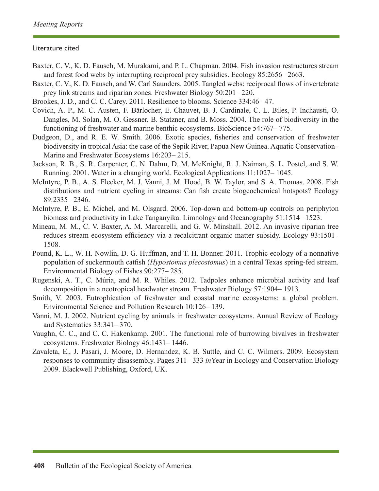## Literature cited

- Baxter, C. V., K. D. Fausch, M. Murakami, and P. L. Chapman. 2004. Fish invasion restructures stream and forest food webs by interrupting reciprocal prey subsidies. Ecology 85:2656– 2663.
- Baxter, C. V., K. D. Fausch, and W. Carl Saunders. 2005. Tangled webs: reciprocal flows of invertebrate prey link streams and riparian zones. Freshwater Biology 50:201– 220.
- Brookes, J. D., and C. C. Carey. 2011. Resilience to blooms. Science 334:46– 47.
- Covich, A. P., M. C. Austen, F. Bärlocher, E. Chauvet, B. J. Cardinale, C. L. Biles, P. Inchausti, O. Dangles, M. Solan, M. O. Gessner, B. Statzner, and B. Moss. 2004. The role of biodiversity in the functioning of freshwater and marine benthic ecosystems. BioScience 54:767– 775.
- Dudgeon, D., and R. E. W. Smith. 2006. Exotic species, fisheries and conservation of freshwater biodiversity in tropical Asia: the case of the Sepik River, Papua New Guinea. Aquatic Conservation– Marine and Freshwater Ecosystems 16:203– 215.
- Jackson, R. B., S. R. Carpenter, C. N. Dahm, D. M. McKnight, R. J. Naiman, S. L. Postel, and S. W. Running. 2001. Water in a changing world. Ecological Applications 11:1027– 1045.
- McIntyre, P. B., A. S. Flecker, M. J. Vanni, J. M. Hood, B. W. Taylor, and S. A. Thomas. 2008. Fish distributions and nutrient cycling in streams: Can fish create biogeochemical hotspots? Ecology 89:2335– 2346.
- McIntyre, P. B., E. Michel, and M. Olsgard. 2006. Top-down and bottom-up controls on periphyton biomass and productivity in Lake Tanganyika. Limnology and Oceanography 51:1514– 1523.
- Mineau, M. M., C. V. Baxter, A. M. Marcarelli, and G. W. Minshall. 2012. An invasive riparian tree reduces stream ecosystem efficiency via a recalcitrant organic matter subsidy. Ecology 93:1501– 1508.
- Pound, K. L., W. H. Nowlin, D. G. Huffman, and T. H. Bonner. 2011. Trophic ecology of a nonnative population of suckermouth catfish (*Hypostomus plecostomus*) in a central Texas spring-fed stream. Environmental Biology of Fishes 90:277– 285.
- Rugenski, A. T., C. Múria, and M. R. Whiles. 2012. Tadpoles enhance microbial activity and leaf decomposition in a neotropical headwater stream. Freshwater Biology 57:1904– 1913.
- Smith, V. 2003. Eutrophication of freshwater and coastal marine ecosystems: a global problem. Environmental Science and Pollution Research 10:126– 139.
- Vanni, M. J. 2002. Nutrient cycling by animals in freshwater ecosystems. Annual Review of Ecology and Systematics 33:341– 370.
- Vaughn, C. C., and C. C. Hakenkamp. 2001. The functional role of burrowing bivalves in freshwater ecosystems. Freshwater Biology 46:1431– 1446.
- Zavaleta, E., J. Pasari, J. Moore, D. Hernandez, K. B. Suttle, and C. C. Wilmers. 2009. Ecosystem responses to community disassembly. Pages 311– 333 *in*Year in Ecology and Conservation Biology 2009. Blackwell Publishing, Oxford, UK.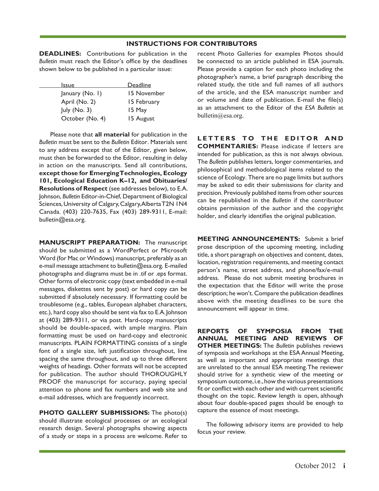#### **INSTRUCTIONS FOR CONTRIBUTORS**

**DEADLINES:** Contributions for publication in the *Bulletin* must reach the Editor's office by the deadlines shown below to be published in a particular issue:

| Issue           | <b>Deadline</b> |
|-----------------|-----------------|
| January (No. I) | 15 November     |
| April (No. 2)   | 15 February     |
| July $(No. 3)$  | 15 May          |
| October (No. 4) | 15 August       |

 Please note that **all material** for publication in the *Bulletin* must be sent to the *Bulletin* Editor. Materials sent to any address except that of the Editor, given below, must then be forwarded to the Editor, resulting in delay in action on the manuscripts. Send all contributions, **except those for Emerging Technologies, Ecology 101, Ecological Education K–12, and Obituaries/ Resolutions of Respect** (see addresses below), to E. A. Johnson, *Bulletin* Editor-in-Chief, Department of Biological Sciences, University of Calgary, Calgary, Alberta T2N 1N4 Canada. (403) 220-7635, Fax (403) 289-9311, E-mail: bulletin@esa.org.

**MANUSCRIPT PREPARATION:** The manuscript should be submitted as a WordPerfect or Microsoft Word (for Mac or Windows) manuscript, preferably as an e-mail message attachment to bulletin@esa.org. E-mailed photographs and diagrams must be in .tif or .eps format. Other forms of electronic copy (text embedded in e-mail messages, diskettes sent by post) or hard copy can be submitted if absolutely necessary. If formatting could be troublesome (e.g., tables, European alphabet characters, etc.), hard copy also should be sent via fax to E.A. Johnson at (403) 289-9311, or via post. Hard-copy manuscripts should be double-spaced, with ample margins. Plain formatting must be used on hard-copy and electronic manuscripts. PLAIN FORMATTING consists of a single font of a single size, left justification throughout, line spacing the same throughout, and up to three different weights of headings. Other formats will not be accepted for publication. The author should THOROUGHLY PROOF the manuscript for accuracy, paying special attention to phone and fax numbers and web site and e-mail addresses, which are frequently incorrect.

**PHOTO GALLERY SUBMISSIONS:** The photo(s) should illustrate ecological processes or an ecological research design. Several photographs showing aspects of a study or steps in a process are welcome. Refer to

recent Photo Galleries for examples Photos should be connected to an article published in ESA journals. Please provide a caption for each photo including the photographer's name, a brief paragraph describing the related study, the title and full names of all authors of the article, and the ESA manuscript number and or volume and date of publication. E-mail the file(s) as an attachment to the Editor of the *ESA Bulletin* at bulletin@esa.org.

**LETTERS TO THE EDITOR AND COMMENTARIES:** Please indicate if letters are intended for publication, as this is not always obvious. The *Bulletin* publishes letters, longer commentaries, and philosophical and methodological items related to the science of Ecology. There are no page limits but authors may be asked to edit their submissions for clarity and precision. Previously published items from other sources can be republished in the *Bulletin* if the contributor obtains permission of the author and the copyright holder, and clearly identifies the original publication.

**MEETING ANNOUNCEMENTS:** Submit a brief prose description of the upcoming meeting, including title, a short paragraph on objectives and content, dates, location, registration requirements, and meeting contact person's name, street address, and phone/fax/e-mail address. Please do not submit meeting brochures in the expectation that the Editor will write the prose description; he won't. Compare the publication deadlines above with the meeting deadlines to be sure the announcement will appear in time.

**REPORTS OF SYMPOSIA FROM THE ANNUAL MEETING AND REVIEWS OF OTHER MEETINGS:** The *Bulletin* publishes reviews of symposia and workshops at the ESA Annual Meeting, as well as important and appropriate meetings that are unrelated to the annual ESA meeting. The reviewer should strive for a synthetic view of the meeting or symposium outcome, i.e., how the various presentations fit or conflict with each other and with current scientific thought on the topic. Review length is open, although about four double-spaced pages should be enough to capture the essence of most meetings.

The following advisory items are provided to help focus your review.